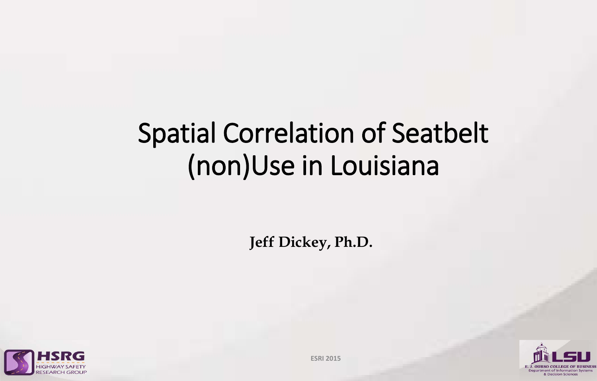## Spatial Correlation of Seatbelt (non)Use in Louisiana

**Jeff Dickey, Ph.D.**





**ESRI 2015**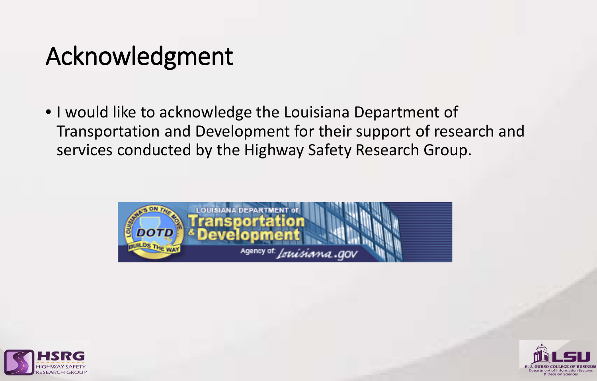## Acknowledgment

• I would like to acknowledge the Louisiana Department of Transportation and Development for their support of research and services conducted by the Highway Safety Research Group.





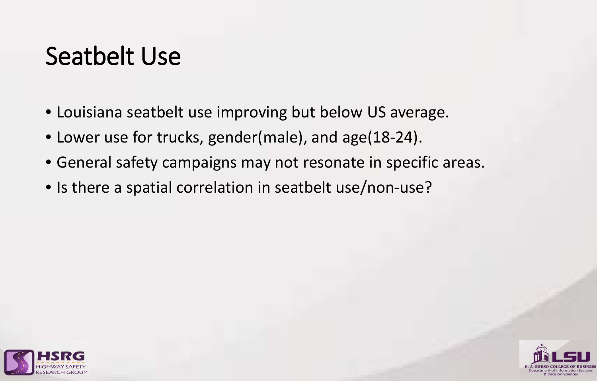#### Seatbelt Use

- Louisiana seatbelt use improving but below US average.
- Lower use for trucks, gender(male), and age(18-24).
- General safety campaigns may not resonate in specific areas.
- Is there a spatial correlation in seatbelt use/non-use?



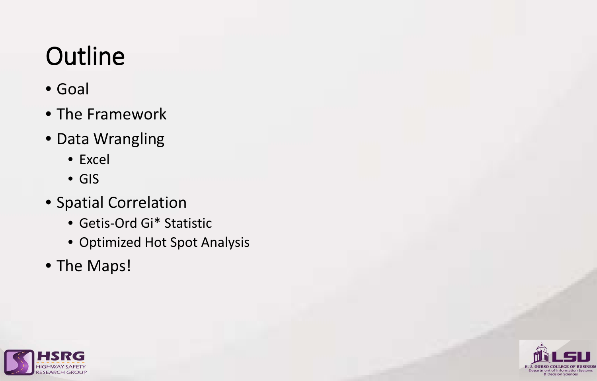# **Outline**

- Goal
- The Framework
- Data Wrangling
	- Excel
	- GIS
- Spatial Correlation
	- Getis-Ord Gi\* Statistic
	- Optimized Hot Spot Analysis
- The Maps!



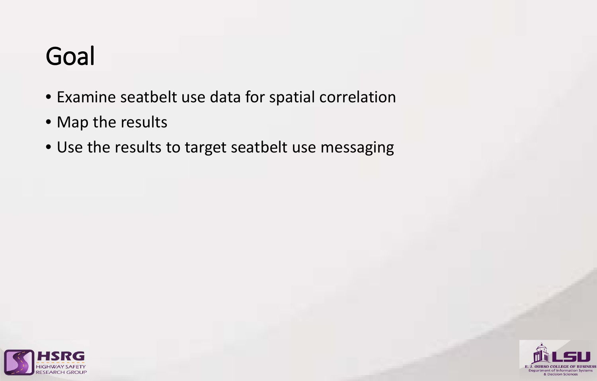### Goal

- Examine seatbelt use data for spatial correlation
- Map the results
- Use the results to target seatbelt use messaging



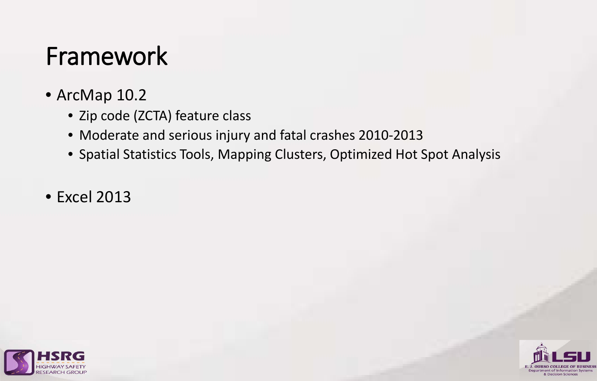### Framework

- ArcMap 10.2
	- Zip code (ZCTA) feature class
	- Moderate and serious injury and fatal crashes 2010-2013
	- Spatial Statistics Tools, Mapping Clusters, Optimized Hot Spot Analysis
- Excel 2013



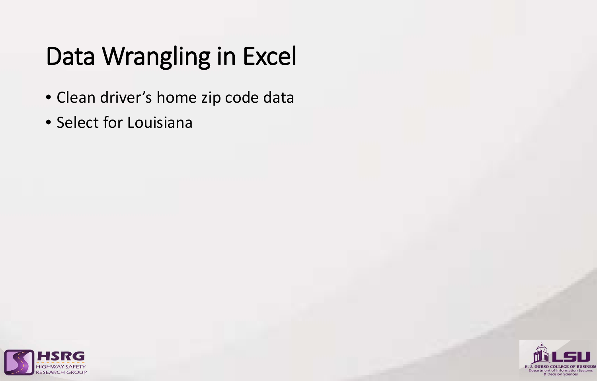## Data Wrangling in Excel

- Clean driver's home zip code data
- Select for Louisiana



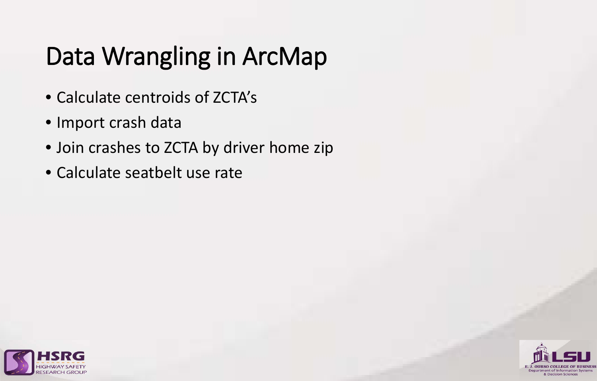## Data Wrangling in ArcMap

- Calculate centroids of ZCTA's
- Import crash data
- Join crashes to ZCTA by driver home zip
- Calculate seatbelt use rate



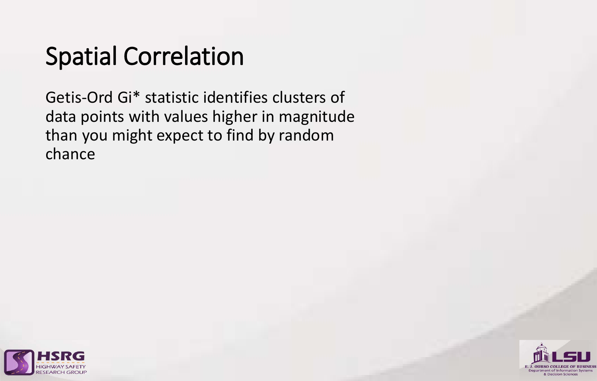## Spatial Correlation

Getis-Ord Gi\* statistic identifies clusters of data points with values higher in magnitude than you might expect to find by random chance



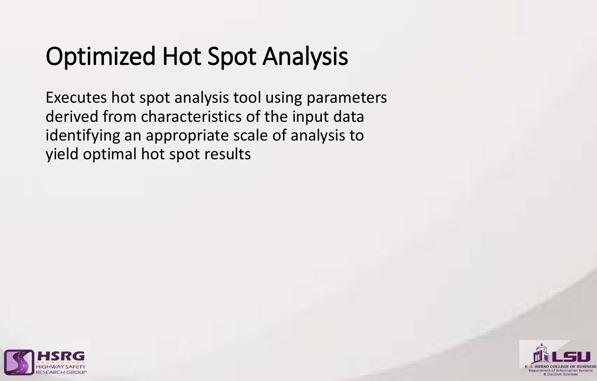## Optimized Hot Spot Analysis

Executes hot spot analysis tool using parameters derived from characteristics of the input data identifying an appropriate scale of analysis to yield optimal hot spot results



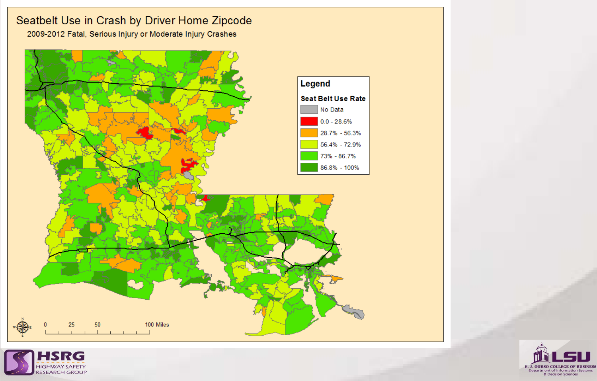#### Seatbelt Use in Crash by Driver Home Zipcode

2009-2012 Fatal, Serious Injury or Moderate Injury Crashes





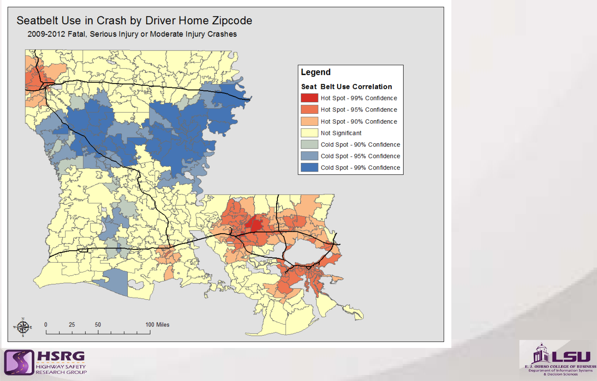#### Seatbelt Use in Crash by Driver Home Zipcode

2009-2012 Fatal, Serious Injury or Moderate Injury Crashes